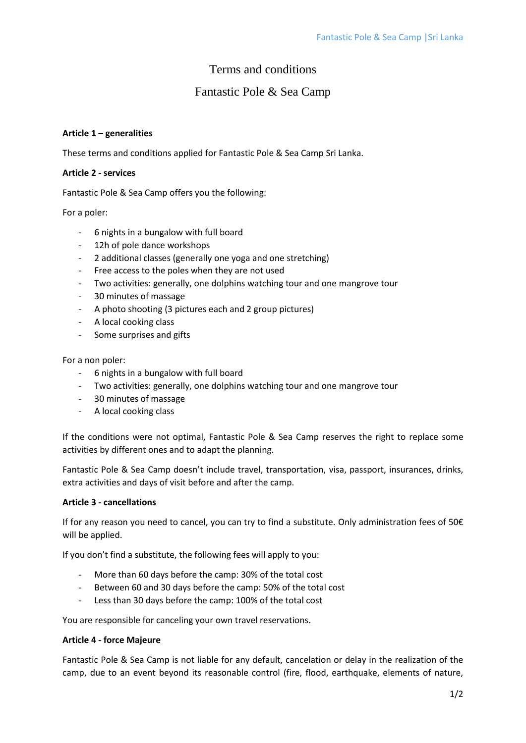# Terms and conditions

# Fantastic Pole & Sea Camp

## **Article 1 – generalities**

These terms and conditions applied for Fantastic Pole & Sea Camp Sri Lanka.

## **Article 2 - services**

Fantastic Pole & Sea Camp offers you the following:

## For a poler:

- 6 nights in a bungalow with full board
- 12h of pole dance workshops
- 2 additional classes (generally one yoga and one stretching)
- Free access to the poles when they are not used
- Two activities: generally, one dolphins watching tour and one mangrove tour
- 30 minutes of massage
- A photo shooting (3 pictures each and 2 group pictures)
- A local cooking class
- Some surprises and gifts

For a non poler:

- 6 nights in a bungalow with full board
- Two activities: generally, one dolphins watching tour and one mangrove tour
- 30 minutes of massage
- A local cooking class

If the conditions were not optimal, Fantastic Pole & Sea Camp reserves the right to replace some activities by different ones and to adapt the planning.

Fantastic Pole & Sea Camp doesn't include travel, transportation, visa, passport, insurances, drinks, extra activities and days of visit before and after the camp.

### **Article 3 - cancellations**

If for any reason you need to cancel, you can try to find a substitute. Only administration fees of 50€ will be applied.

If you don't find a substitute, the following fees will apply to you:

- More than 60 days before the camp: 30% of the total cost
- Between 60 and 30 days before the camp: 50% of the total cost
- Less than 30 days before the camp: 100% of the total cost

You are responsible for canceling your own travel reservations.

#### **Article 4 - force Majeure**

Fantastic Pole & Sea Camp is not liable for any default, cancelation or delay in the realization of the camp, due to an event beyond its reasonable control (fire, flood, earthquake, elements of nature,